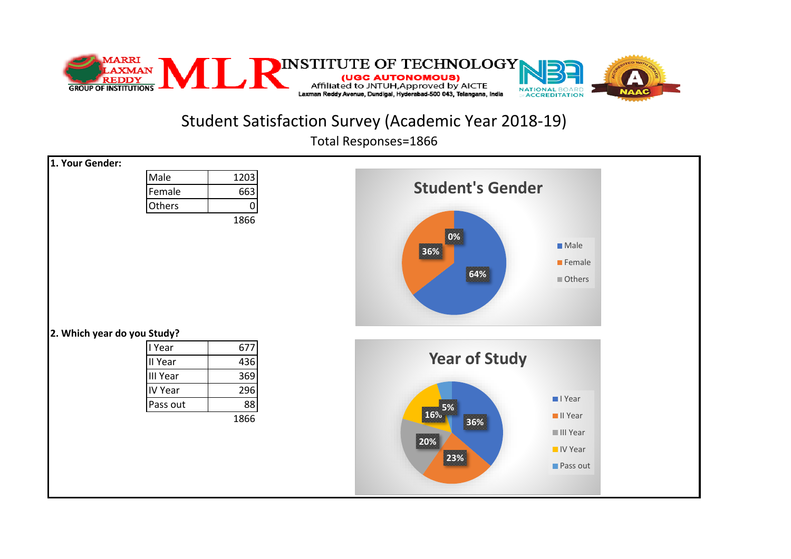

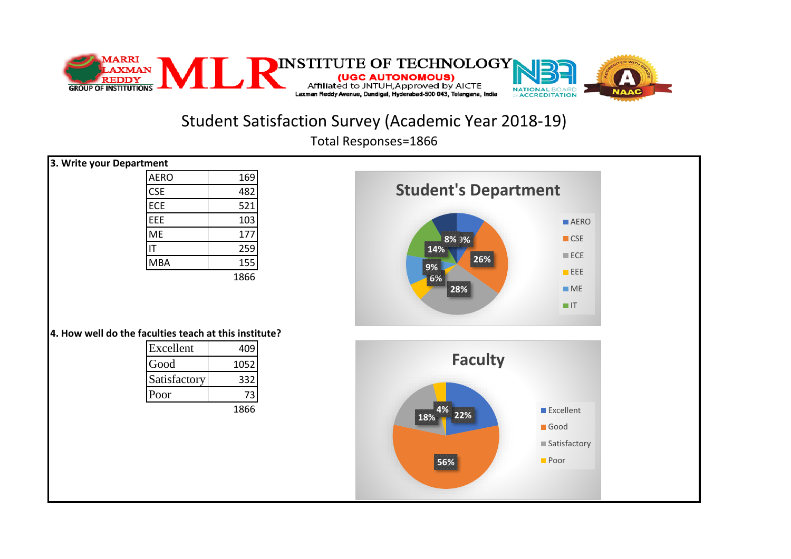

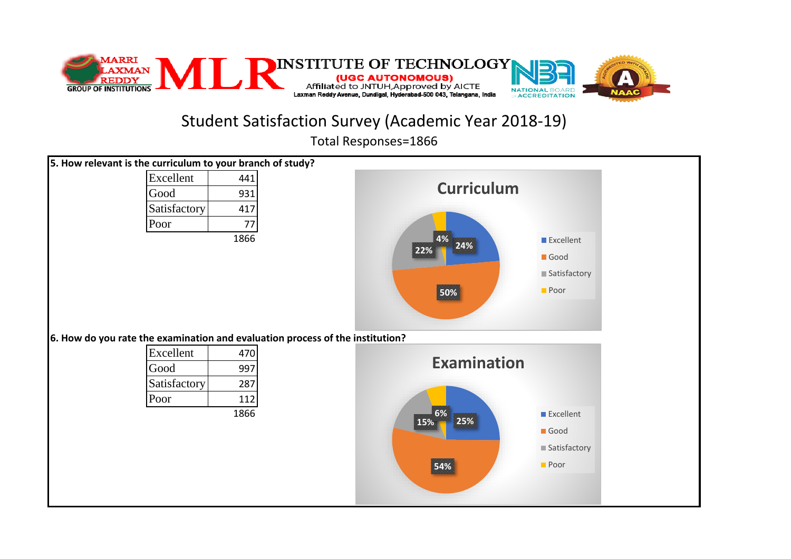

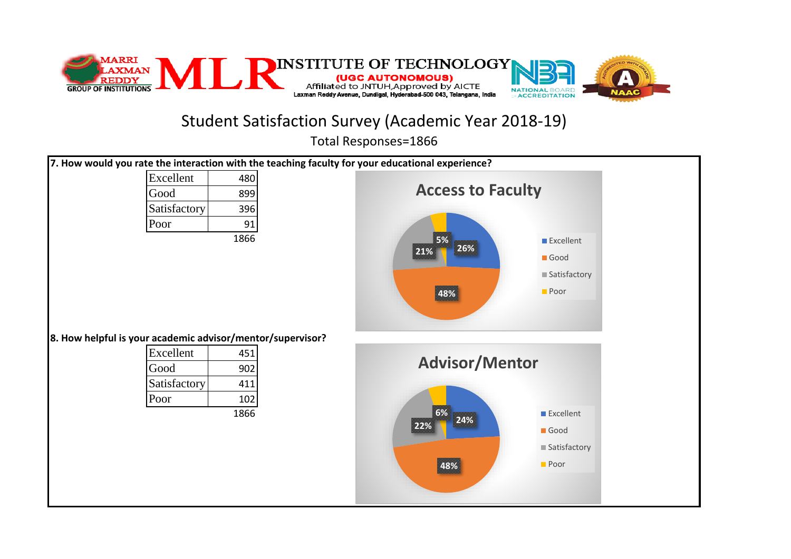

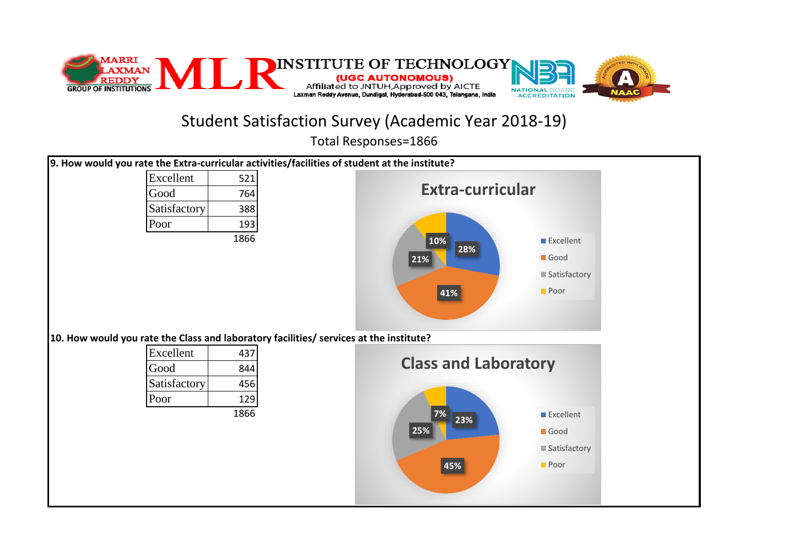

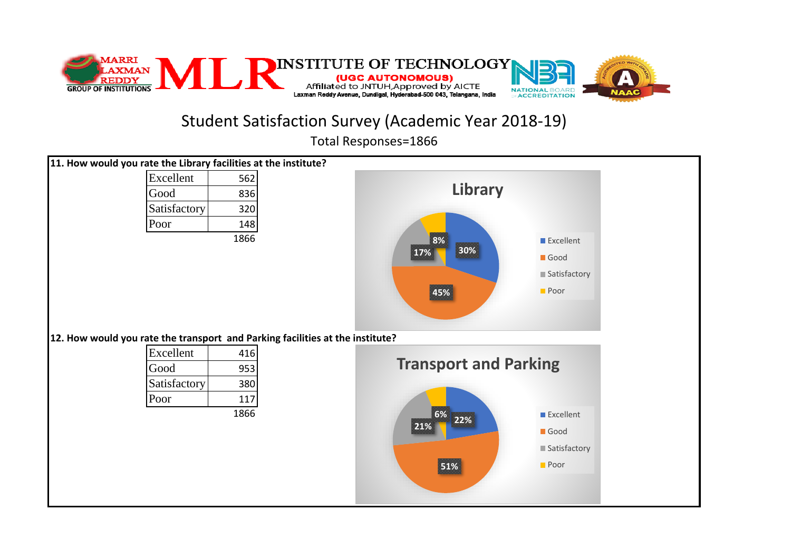

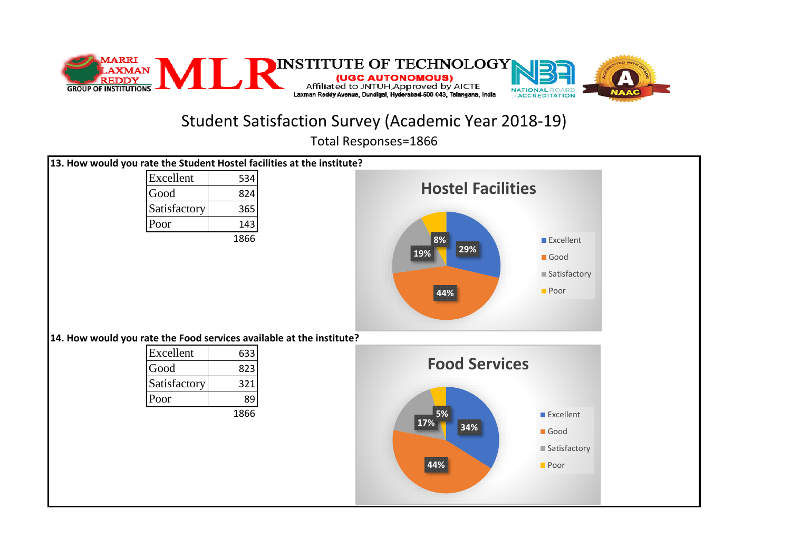

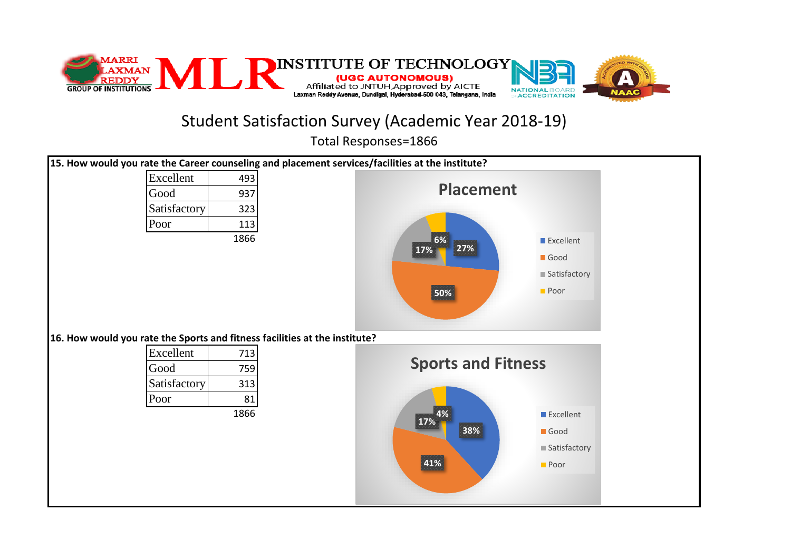